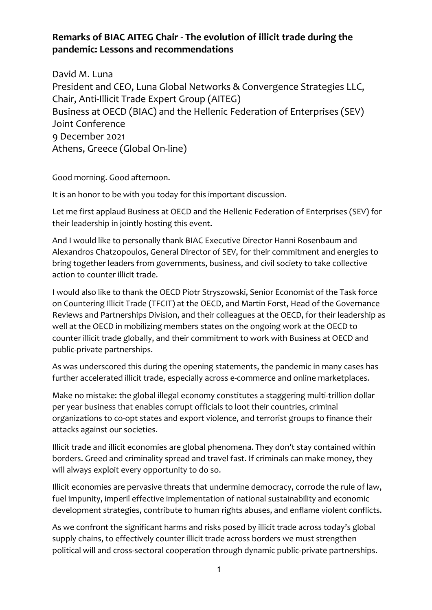## **Remarks of BIAC AITEG Chair - The evolution of illicit trade during the pandemic: Lessons and recommendations**

David M. Luna President and CEO, Luna Global Networks & Convergence Strategies LLC, Chair, Anti-Illicit Trade Expert Group (AITEG) Business at OECD (BIAC) and the Hellenic Federation of Enterprises (SEV) Joint Conference 9 December 2021 Athens, Greece (Global On-line)

Good morning. Good afternoon.

It is an honor to be with you today for this important discussion.

Let me first applaud Business at OECD and the Hellenic Federation of Enterprises (SEV) for their leadership in jointly hosting this event.

And I would like to personally thank BIAC Executive Director Hanni Rosenbaum and Alexandros Chatzopoulos, General Director of SEV, for their commitment and energies to bring together leaders from governments, business, and civil society to take collective action to counter illicit trade.

I would also like to thank the OECD Piotr Stryszowski, Senior Economist of the Task force on Countering Illicit Trade (TFCIT) at the OECD, and Martin Forst, Head of the Governance Reviews and Partnerships Division, and their colleagues at the OECD, for their leadership as well at the OECD in mobilizing members states on the ongoing work at the OECD to counter illicit trade globally, and their commitment to work with Business at OECD and public-private partnerships.

As was underscored this during the opening statements, the pandemic in many cases has further accelerated illicit trade, especially across e-commerce and online marketplaces.

Make no mistake: the global illegal economy constitutes a staggering multi-trillion dollar per year business that enables corrupt officials to loot their countries, criminal organizations to co-opt states and export violence, and terrorist groups to finance their attacks against our societies.

Illicit trade and illicit economies are global phenomena. They don't stay contained within borders. Greed and criminality spread and travel fast. If criminals can make money, they will always exploit every opportunity to do so.

Illicit economies are pervasive threats that undermine democracy, corrode the rule of law, fuel impunity, imperil effective implementation of national sustainability and economic development strategies, contribute to human rights abuses, and enflame violent conflicts.

As we confront the significant harms and risks posed by illicit trade across today's global supply chains, to effectively counter illicit trade across borders we must strengthen political will and cross-sectoral cooperation through dynamic public-private partnerships.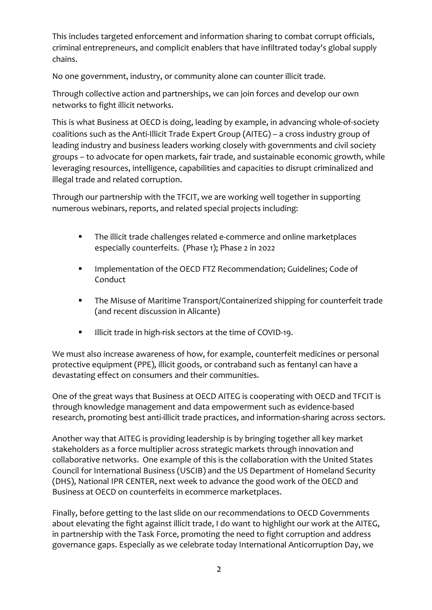This includes targeted enforcement and information sharing to combat corrupt officials, criminal entrepreneurs, and complicit enablers that have infiltrated today's global supply chains.

No one government, industry, or community alone can counter illicit trade.

Through collective action and partnerships, we can join forces and develop our own networks to fight illicit networks.

This is what Business at OECD is doing, leading by example, in advancing whole-of-society coalitions such as the Anti-Illicit Trade Expert Group (AITEG) – a cross industry group of leading industry and business leaders working closely with governments and civil society groups – to advocate for open markets, fair trade, and sustainable economic growth, while leveraging resources, intelligence, capabilities and capacities to disrupt criminalized and illegal trade and related corruption.

Through our partnership with the TFCIT, we are working well together in supporting numerous webinars, reports, and related special projects including:

- The illicit trade challenges related e-commerce and online marketplaces especially counterfeits. (Phase 1); Phase 2 in 2022
- Implementation of the OECD FTZ Recommendation; Guidelines; Code of Conduct
- The Misuse of Maritime Transport/Containerized shipping for counterfeit trade (and recent discussion in Alicante)
- **■** Illicit trade in high-risk sectors at the time of COVID-19.

We must also increase awareness of how, for example, counterfeit medicines or personal protective equipment (PPE), illicit goods, or contraband such as fentanyl can have a devastating effect on consumers and their communities.

One of the great ways that Business at OECD AITEG is cooperating with OECD and TFCIT is through knowledge management and data empowerment such as evidence-based research, promoting best anti-illicit trade practices, and information-sharing across sectors.

Another way that AITEG is providing leadership is by bringing together all key market stakeholders as a force multiplier across strategic markets through innovation and collaborative networks. One example of this is the collaboration with the United States Council for International Business (USCIB) and the US Department of Homeland Security (DHS), National IPR CENTER, next week to advance the good work of the OECD and Business at OECD on counterfeits in ecommerce marketplaces.

Finally, before getting to the last slide on our recommendations to OECD Governments about elevating the fight against illicit trade, I do want to highlight our work at the AITEG, in partnership with the Task Force, promoting the need to fight corruption and address governance gaps. Especially as we celebrate today International Anticorruption Day, we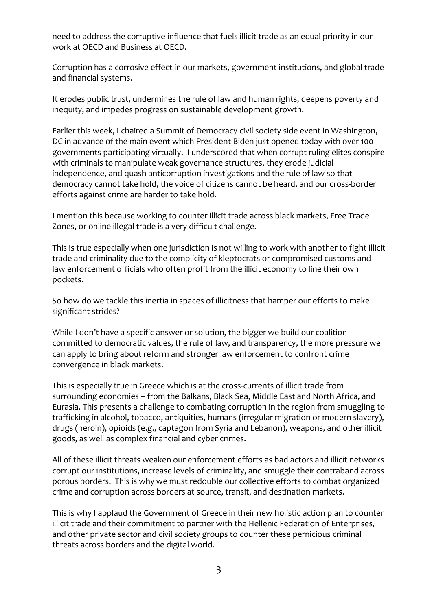need to address the corruptive influence that fuels illicit trade as an equal priority in our work at OECD and Business at OECD.

Corruption has a corrosive effect in our markets, government institutions, and global trade and financial systems.

It erodes public trust, undermines the rule of law and human rights, deepens poverty and inequity, and impedes progress on sustainable development growth.

Earlier this week, I chaired a Summit of Democracy civil society side event in Washington, DC in advance of the main event which President Biden just opened today with over 100 governments participating virtually. I underscored that when corrupt ruling elites conspire with criminals to manipulate weak governance structures, they erode judicial independence, and quash anticorruption investigations and the rule of law so that democracy cannot take hold, the voice of citizens cannot be heard, and our cross-border efforts against crime are harder to take hold.

I mention this because working to counter illicit trade across black markets, Free Trade Zones, or online illegal trade is a very difficult challenge.

This is true especially when one jurisdiction is not willing to work with another to fight illicit trade and criminality due to the complicity of kleptocrats or compromised customs and law enforcement officials who often profit from the illicit economy to line their own pockets.

So how do we tackle this inertia in spaces of illicitness that hamper our efforts to make significant strides?

While I don't have a specific answer or solution, the bigger we build our coalition committed to democratic values, the rule of law, and transparency, the more pressure we can apply to bring about reform and stronger law enforcement to confront crime convergence in black markets.

This is especially true in Greece which is at the cross-currents of illicit trade from surrounding economies – from the Balkans, Black Sea, Middle East and North Africa, and Eurasia. This presents a challenge to combating corruption in the region from smuggling to trafficking in alcohol, tobacco, antiquities, humans (irregular migration or modern slavery), drugs (heroin), opioids (e.g., captagon from Syria and Lebanon), weapons, and other illicit goods, as well as complex financial and cyber crimes.

All of these illicit threats weaken our enforcement efforts as bad actors and illicit networks corrupt our institutions, increase levels of criminality, and smuggle their contraband across porous borders. This is why we must redouble our collective efforts to combat organized crime and corruption across borders at source, transit, and destination markets.

This is why I applaud the Government of Greece in their new holistic action plan to counter illicit trade and their commitment to partner with the Hellenic Federation of Enterprises, and other private sector and civil society groups to counter these pernicious criminal threats across borders and the digital world.